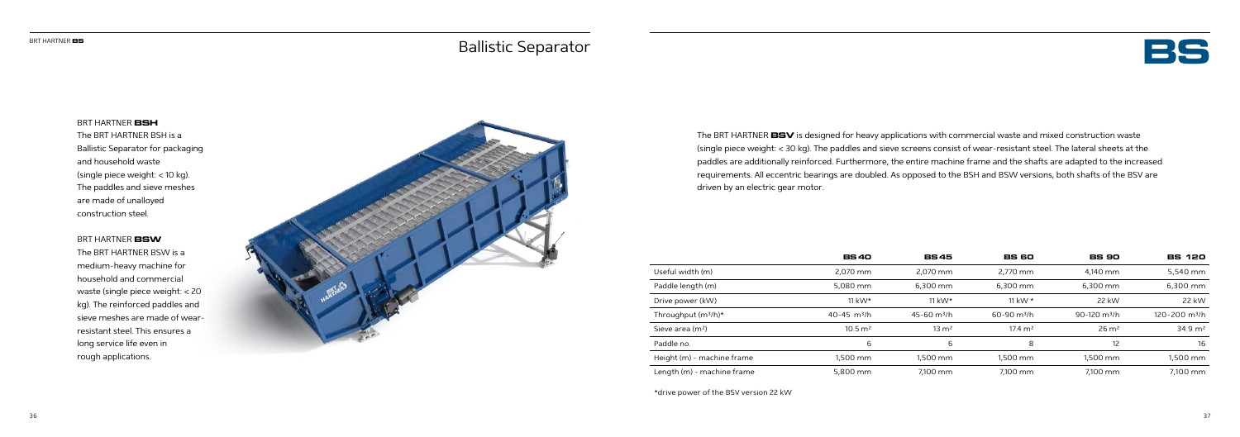

BRT HARTNER **BSH** The BRT HARTNER BSH is a Ballistic Separator for packaging and household waste (single piece weight: < 10 kg). The paddles and sieve meshes are made of unalloyed construction steel.

## BRT HARTNER **BSW**

The BRT HARTNER BSW is a medium-heavy machine for household and commercial waste (single piece weight: < 20 kg). The reinforced paddles and sieve meshes are made of wearresistant steel. This ensures a long service life even in rough applications.



The BRT HARTNER **BSV** is designed for heavy applications with commercial waste and mixed construction waste (single piece weight: < 30 kg). The paddles and sieve screens consist of wear-resistant steel. The lateral sheets at the paddles are additionally reinforced. Furthermore, the entire machine frame and the shafts are adapted to the increased requirements. All eccentric bearings are doubled. As opposed to the BSH and BSW versions, both shafts of the BSV are driven by an electric gear motor.

|                                 | <b>BS40</b>                 | <b>BS45</b>                 | <b>BS 60</b>              | <b>BS 90</b>               | <b>BS 120</b>             |
|---------------------------------|-----------------------------|-----------------------------|---------------------------|----------------------------|---------------------------|
| Useful width (m)                | 2.070 mm                    | 2.070 mm                    | 2.770 mm                  | 4.140 mm                   | 5,540 mm                  |
| Paddle length (m)               | 5,080 mm                    | $6.300$ mm                  | 6.300 mm                  | $6.300$ mm                 | 6,300 mm                  |
| Drive power (kW)                | 11 kW $\star$               | 11 kW $\star$               | 11 kW $*$                 | 22 kW                      | 22 kW                     |
| Throughput (m <sup>3</sup> /h)* | $40 - 45$ m <sup>3</sup> /h | $45 - 60$ m <sup>3</sup> /h | $60-90$ m <sup>3</sup> /h | $90-120$ m <sup>3</sup> /h | 120-200 m <sup>3</sup> /h |
| Sieve area (m <sup>2</sup> )    | $10.5 \, \text{m}^2$        | $13 \text{ m}^2$            | $17.4 \text{ m}^2$        | $26 \text{ m}^2$           | $34.9 \text{ m}^2$        |
| Paddle no.                      | 6                           | 6                           | 8                         | 12                         | 16                        |
| Height (m) - machine frame      | 1.500 mm                    | 1.500 mm                    | 1.500 mm                  | 1.500 mm                   | 1,500 mm                  |
| Length (m) - machine frame      | 5,800 mm                    | 7.100 mm                    | 7.100 mm                  | 7.100 mm                   | 7.100 mm                  |

\*drive power of the BSV version 22 kW